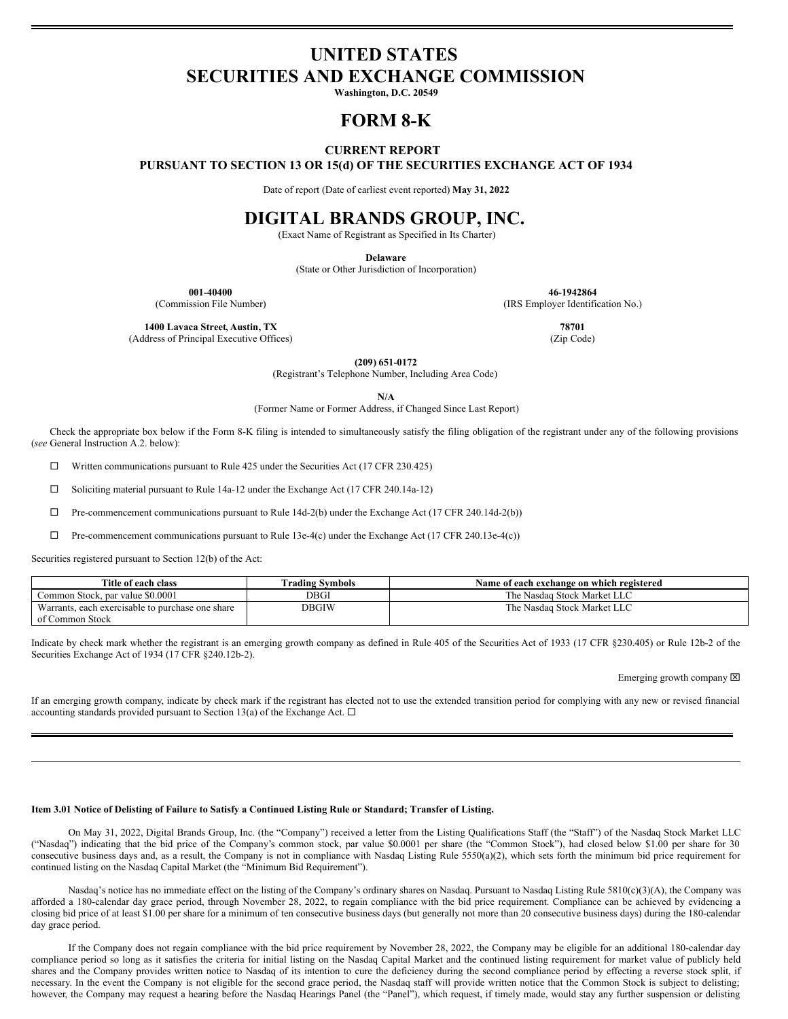# **UNITED STATES SECURITIES AND EXCHANGE COMMISSION**

**Washington, D.C. 20549**

## **FORM 8-K**

### **CURRENT REPORT**

**PURSUANT TO SECTION 13 OR 15(d) OF THE SECURITIES EXCHANGE ACT OF 1934**

Date of report (Date of earliest event reported) **May 31, 2022**

## **DIGITAL BRANDS GROUP, INC.**

(Exact Name of Registrant as Specified in Its Charter)

**Delaware**

(State or Other Jurisdiction of Incorporation)

**001-40400 46-1942864**

(Commission File Number) (IRS Employer Identification No.)

**1400 Lavaca Street, Austin, TX 78701**

(Address of Principal Executive Offices) (Zip Code)

**(209) 651-0172**

(Registrant's Telephone Number, Including Area Code)

**N/A**

(Former Name or Former Address, if Changed Since Last Report)

Check the appropriate box below if the Form 8-K filing is intended to simultaneously satisfy the filing obligation of the registrant under any of the following provisions (*see* General Instruction A.2. below):

 $\Box$  Written communications pursuant to Rule 425 under the Securities Act (17 CFR 230.425)

 $\Box$  Soliciting material pursuant to Rule 14a-12 under the Exchange Act (17 CFR 240.14a-12)

 $\Box$  Pre-commencement communications pursuant to Rule 14d-2(b) under the Exchange Act (17 CFR 240.14d-2(b))

 $\Box$  Pre-commencement communications pursuant to Rule 13e-4(c) under the Exchange Act (17 CFR 240.13e-4(c))

Securities registered pursuant to Section 12(b) of the Act:

| Title of each class                              | Trading Svmbols | Name of each exchange on which registered |
|--------------------------------------------------|-----------------|-------------------------------------------|
| Common Stock, par value \$0.0001                 | DBGI            | The Nasdaq Stock Market LLC               |
| Warrants, each exercisable to purchase one share | <b>DBGIW</b>    | The Nasdaq Stock Market LLC               |
| of Common Stock                                  |                 |                                           |

Indicate by check mark whether the registrant is an emerging growth company as defined in Rule 405 of the Securities Act of 1933 (17 CFR §230.405) or Rule 12b-2 of the Securities Exchange Act of 1934 (17 CFR §240.12b-2).

Emerging growth company  $[2]$ 

If an emerging growth company, indicate by check mark if the registrant has elected not to use the extended transition period for complying with any new or revised financial accounting standards provided pursuant to Section 13(a) of the Exchange Act.  $\Box$ 

#### Item 3.01 Notice of Delisting of Failure to Satisfy a Continued Listing Rule or Standard; Transfer of Listing.

On May 31, 2022, Digital Brands Group, Inc. (the "Company") received a letter from the Listing Qualifications Staff (the "Staff") of the Nasdaq Stock Market LLC ("Nasdaq") indicating that the bid price of the Company's common stock, par value \$0.0001 per share (the "Common Stock"), had closed below \$1.00 per share for 30 consecutive business days and, as a result, the Company is not in compliance with Nasdaq Listing Rule 5550(a)(2), which sets forth the minimum bid price requirement for continued listing on the Nasdaq Capital Market (the "Minimum Bid Requirement").

Nasdaq's notice has no immediate effect on the listing of the Company's ordinary shares on Nasdaq. Pursuant to Nasdaq Listing Rule 5810(c)(3)(A), the Company was afforded a 180-calendar day grace period, through November 28, 2022, to regain compliance with the bid price requirement. Compliance can be achieved by evidencing a closing bid price of at least \$1.00 per share for a minimum of ten consecutive business days (but generally not more than 20 consecutive business days) during the 180-calendar day grace period.

If the Company does not regain compliance with the bid price requirement by November 28, 2022, the Company may be eligible for an additional 180-calendar day compliance period so long as it satisfies the criteria for initial listing on the Nasdaq Capital Market and the continued listing requirement for market value of publicly held shares and the Company provides written notice to Nasdaq of its intention to cure the deficiency during the second compliance period by effecting a reverse stock split, if necessary. In the event the Company is not eligible for the second grace period, the Nasdaq staff will provide written notice that the Common Stock is subject to delisting; however, the Company may request a hearing before the Nasdaq Hearings Panel (the "Panel"), which request, if timely made, would stay any further suspension or delisting